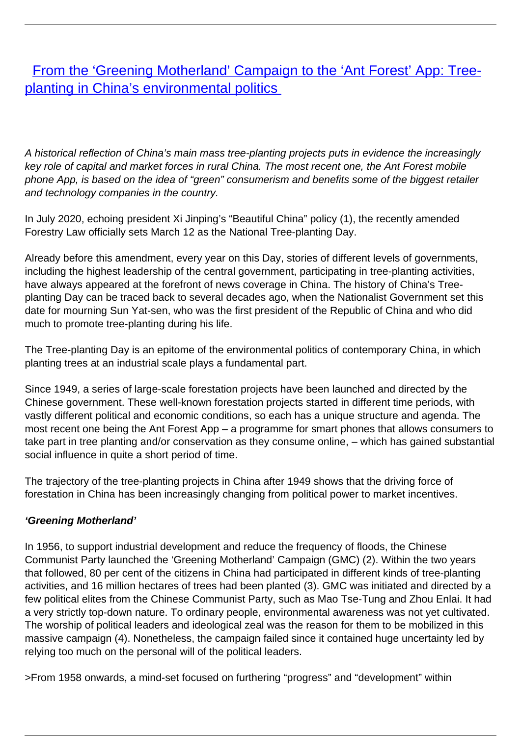[From the 'Greening Motherland' Campaign to the 'Ant Forest' App: Tree](/bulletin-articles/from-the-greening-motherland-campaign-to-the-ant-forest-app-tree-planting-in-chinas-environmental-politics)[planting in China's environmental politics](/bulletin-articles/from-the-greening-motherland-campaign-to-the-ant-forest-app-tree-planting-in-chinas-environmental-politics)

A historical reflection of China's main mass tree-planting projects puts in evidence the increasingly key role of capital and market forces in rural China. The most recent one, the Ant Forest mobile phone App, is based on the idea of "green" consumerism and benefits some of the biggest retailer and technology companies in the country.

In July 2020, echoing president Xi Jinping's "Beautiful China" policy (1), the recently amended Forestry Law officially sets March 12 as the National Tree-planting Day.

Already before this amendment, every year on this Day, stories of different levels of governments, including the highest leadership of the central government, participating in tree-planting activities, have always appeared at the forefront of news coverage in China. The history of China's Treeplanting Day can be traced back to several decades ago, when the Nationalist Government set this date for mourning Sun Yat-sen, who was the first president of the Republic of China and who did much to promote tree-planting during his life.

The Tree-planting Day is an epitome of the environmental politics of contemporary China, in which planting trees at an industrial scale plays a fundamental part.

Since 1949, a series of large-scale forestation projects have been launched and directed by the Chinese government. These well-known forestation projects started in different time periods, with vastly different political and economic conditions, so each has a unique structure and agenda. The most recent one being the Ant Forest App – a programme for smart phones that allows consumers to take part in tree planting and/or conservation as they consume online, – which has gained substantial social influence in quite a short period of time.

The trajectory of the tree-planting projects in China after 1949 shows that the driving force of forestation in China has been increasingly changing from political power to market incentives.

## **'Greening Motherland'**

In 1956, to support industrial development and reduce the frequency of floods, the Chinese Communist Party launched the 'Greening Motherland' Campaign (GMC) (2). Within the two years that followed, 80 per cent of the citizens in China had participated in different kinds of tree-planting activities, and 16 million hectares of trees had been planted (3). GMC was initiated and directed by a few political elites from the Chinese Communist Party, such as Mao Tse-Tung and Zhou Enlai. It had a very strictly top-down nature. To ordinary people, environmental awareness was not yet cultivated. The worship of political leaders and ideological zeal was the reason for them to be mobilized in this massive campaign (4). Nonetheless, the campaign failed since it contained huge uncertainty led by relying too much on the personal will of the political leaders.

>From 1958 onwards, a mind-set focused on furthering "progress" and "development" within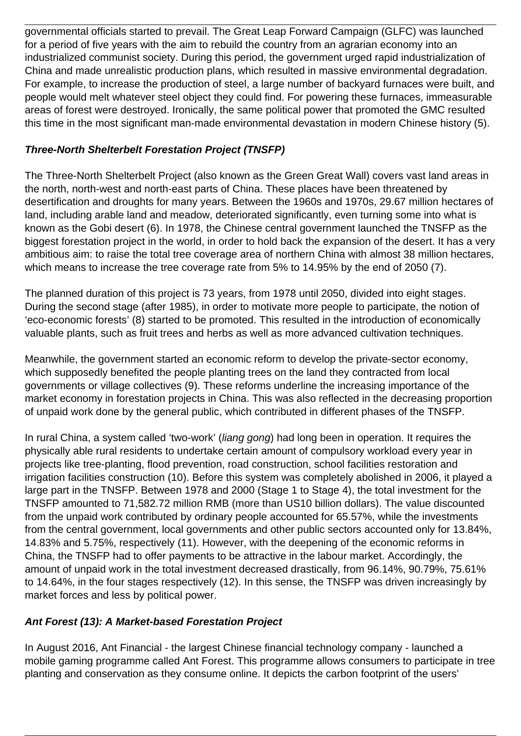governmental officials started to prevail. The Great Leap Forward Campaign (GLFC) was launched for a period of five years with the aim to rebuild the country from an agrarian economy into an industrialized communist society. During this period, the government urged rapid industrialization of China and made unrealistic production plans, which resulted in massive environmental degradation. For example, to increase the production of steel, a large number of backyard furnaces were built, and people would melt whatever steel object they could find. For powering these furnaces, immeasurable areas of forest were destroyed. Ironically, the same political power that promoted the GMC resulted this time in the most significant man-made environmental devastation in modern Chinese history (5).

## **Three-North Shelterbelt Forestation Project (TNSFP)**

The Three-North Shelterbelt Project (also known as the Green Great Wall) covers vast land areas in the north, north-west and north-east parts of China. These places have been threatened by desertification and droughts for many years. Between the 1960s and 1970s, 29.67 million hectares of land, including arable land and meadow, deteriorated significantly, even turning some into what is known as the Gobi desert (6). In 1978, the Chinese central government launched the TNSFP as the biggest forestation project in the world, in order to hold back the expansion of the desert. It has a very ambitious aim: to raise the total tree coverage area of northern China with almost 38 million hectares, which means to increase the tree coverage rate from 5% to 14.95% by the end of 2050 (7).

The planned duration of this project is 73 years, from 1978 until 2050, divided into eight stages. During the second stage (after 1985), in order to motivate more people to participate, the notion of 'eco-economic forests' (8) started to be promoted. This resulted in the introduction of economically valuable plants, such as fruit trees and herbs as well as more advanced cultivation techniques.

Meanwhile, the government started an economic reform to develop the private-sector economy, which supposedly benefited the people planting trees on the land they contracted from local governments or village collectives (9). These reforms underline the increasing importance of the market economy in forestation projects in China. This was also reflected in the decreasing proportion of unpaid work done by the general public, which contributed in different phases of the TNSFP.

In rural China, a system called 'two-work' (liang gong) had long been in operation. It requires the physically able rural residents to undertake certain amount of compulsory workload every year in projects like tree-planting, flood prevention, road construction, school facilities restoration and irrigation facilities construction (10). Before this system was completely abolished in 2006, it played a large part in the TNSFP. Between 1978 and 2000 (Stage 1 to Stage 4), the total investment for the TNSFP amounted to 71,582.72 million RMB (more than US10 billion dollars). The value discounted from the unpaid work contributed by ordinary people accounted for 65.57%, while the investments from the central government, local governments and other public sectors accounted only for 13.84%, 14.83% and 5.75%, respectively (11). However, with the deepening of the economic reforms in China, the TNSFP had to offer payments to be attractive in the labour market. Accordingly, the amount of unpaid work in the total investment decreased drastically, from 96.14%, 90.79%, 75.61% to 14.64%, in the four stages respectively (12). In this sense, the TNSFP was driven increasingly by market forces and less by political power.

## **Ant Forest (13): A Market-based Forestation Project**

In August 2016, Ant Financial - the largest Chinese financial technology company - launched a mobile gaming programme called Ant Forest. This programme allows consumers to participate in tree planting and conservation as they consume online. It depicts the carbon footprint of the users'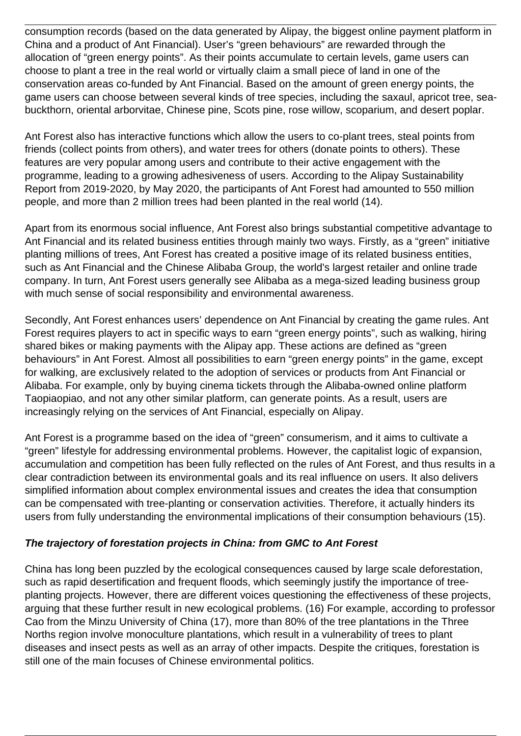consumption records (based on the data generated by Alipay, the biggest online payment platform in China and a product of Ant Financial). User's "green behaviours" are rewarded through the allocation of "green energy points". As their points accumulate to certain levels, game users can choose to plant a tree in the real world or virtually claim a small piece of land in one of the conservation areas co-funded by Ant Financial. Based on the amount of green energy points, the game users can choose between several kinds of tree species, including the saxaul, apricot tree, seabuckthorn, oriental arborvitae, Chinese pine, Scots pine, rose willow, scoparium, and desert poplar.

Ant Forest also has interactive functions which allow the users to co-plant trees, steal points from friends (collect points from others), and water trees for others (donate points to others). These features are very popular among users and contribute to their active engagement with the programme, leading to a growing adhesiveness of users. According to the Alipay Sustainability Report from 2019-2020, by May 2020, the participants of Ant Forest had amounted to 550 million people, and more than 2 million trees had been planted in the real world (14).

Apart from its enormous social influence, Ant Forest also brings substantial competitive advantage to Ant Financial and its related business entities through mainly two ways. Firstly, as a "green" initiative planting millions of trees, Ant Forest has created a positive image of its related business entities, such as Ant Financial and the Chinese Alibaba Group, the world's largest retailer and online trade company. In turn, Ant Forest users generally see Alibaba as a mega-sized leading business group with much sense of social responsibility and environmental awareness.

Secondly, Ant Forest enhances users' dependence on Ant Financial by creating the game rules. Ant Forest requires players to act in specific ways to earn "green energy points", such as walking, hiring shared bikes or making payments with the Alipay app. These actions are defined as "green behaviours" in Ant Forest. Almost all possibilities to earn "green energy points" in the game, except for walking, are exclusively related to the adoption of services or products from Ant Financial or Alibaba. For example, only by buying cinema tickets through the Alibaba-owned online platform Taopiaopiao, and not any other similar platform, can generate points. As a result, users are increasingly relying on the services of Ant Financial, especially on Alipay.

Ant Forest is a programme based on the idea of "green" consumerism, and it aims to cultivate a "green" lifestyle for addressing environmental problems. However, the capitalist logic of expansion, accumulation and competition has been fully reflected on the rules of Ant Forest, and thus results in a clear contradiction between its environmental goals and its real influence on users. It also delivers simplified information about complex environmental issues and creates the idea that consumption can be compensated with tree-planting or conservation activities. Therefore, it actually hinders its users from fully understanding the environmental implications of their consumption behaviours (15).

## **The trajectory of forestation projects in China: from GMC to Ant Forest**

China has long been puzzled by the ecological consequences caused by large scale deforestation, such as rapid desertification and frequent floods, which seemingly justify the importance of treeplanting projects. However, there are different voices questioning the effectiveness of these projects, arguing that these further result in new ecological problems. (16) For example, according to professor Cao from the Minzu University of China (17), more than 80% of the tree plantations in the Three Norths region involve monoculture plantations, which result in a vulnerability of trees to plant diseases and insect pests as well as an array of other impacts. Despite the critiques, forestation is still one of the main focuses of Chinese environmental politics.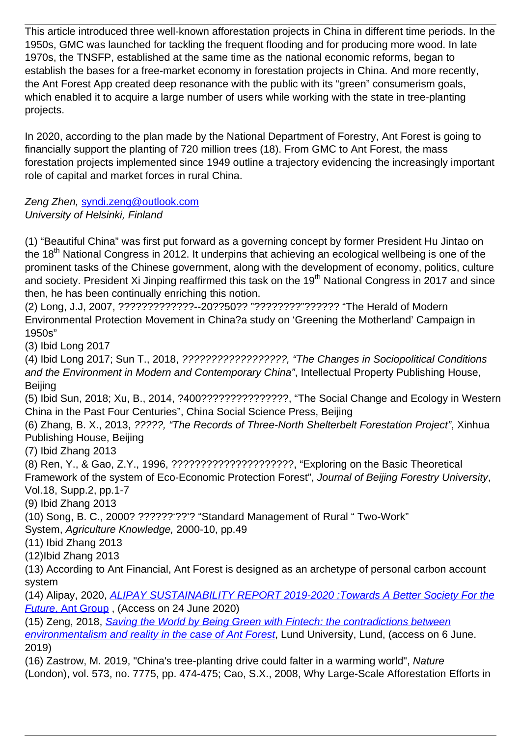This article introduced three well-known afforestation projects in China in different time periods. In the 1950s, GMC was launched for tackling the frequent flooding and for producing more wood. In late 1970s, the TNSFP, established at the same time as the national economic reforms, began to establish the bases for a free-market economy in forestation projects in China. And more recently, the Ant Forest App created deep resonance with the public with its "green" consumerism goals, which enabled it to acquire a large number of users while working with the state in tree-planting projects.

In 2020, according to the plan made by the National Department of Forestry, Ant Forest is going to financially support the planting of 720 million trees (18). From GMC to Ant Forest, the mass forestation projects implemented since 1949 outline a trajectory evidencing the increasingly important role of capital and market forces in rural China.

Zeng Zhen, [syndi.zeng@outlook.com](mailto:syndi.zeng@outlook.com) University of Helsinki, Finland

(1) "Beautiful China" was first put forward as a governing concept by former President Hu Jintao on the 18<sup>th</sup> National Congress in 2012. It underpins that achieving an ecological wellbeing is one of the prominent tasks of the Chinese government, along with the development of economy, politics, culture and society. President Xi Jinping reaffirmed this task on the 19<sup>th</sup> National Congress in 2017 and since then, he has been continually enriching this notion.

(2) Long, J.J, 2007, ?????????????--20??50?? "????????"?????? "The Herald of Modern Environmental Protection Movement in China?a study on 'Greening the Motherland' Campaign in 1950s"

(3) Ibid Long 2017

(4) Ibid Long 2017; Sun T., 2018, ??????????????????, "The Changes in Sociopolitical Conditions and the Environment in Modern and Contemporary China", Intellectual Property Publishing House, Beijing

(5) Ibid Sun, 2018; Xu, B., 2014, ?400???????????????, "The Social Change and Ecology in Western China in the Past Four Centuries", China Social Science Press, Beijing

(6) Zhang, B. X., 2013, ?????, "The Records of Three-North Shelterbelt Forestation Project", Xinhua Publishing House, Beijing

(7) Ibid Zhang 2013

(8) Ren, Y., & Gao, Z.Y., 1996, ?????????????????????, "Exploring on the Basic Theoretical Framework of the system of Eco-Economic Protection Forest", Journal of Beijing Forestry University, Vol.18, Supp.2, pp.1-7

(9) Ibid Zhang 2013

(10) Song, B. C., 2000? ??????'??'? "Standard Management of Rural " Two-Work"

System, Agriculture Knowledge, 2000-10, pp.49

(11) Ibid Zhang 2013

(12)Ibid Zhang 2013

(13) According to Ant Financial, Ant Forest is designed as an archetype of personal carbon account system

(14) Alipay, 2020, [ALIPAY SUSTAINABILITY REPORT 2019-2020 :Towards A Better Society For the](https://wrm.us9.list-manage.com/track/click?u=f91b651f7fecdf835b57dc11d&id=6918016dcf&e=08ad7e6520) [Future](https://wrm.us9.list-manage.com/track/click?u=f91b651f7fecdf835b57dc11d&id=6918016dcf&e=08ad7e6520)[, Ant Group](https://wrm.us9.list-manage.com/track/click?u=f91b651f7fecdf835b57dc11d&id=6918016dcf&e=08ad7e6520) , (Access on 24 June 2020)

(15) Zeng, 2018, [Saving the World by Being Green with Fintech: the contradictions between](https://wrm.us9.list-manage.com/track/click?u=f91b651f7fecdf835b57dc11d&id=1881b85c2f&e=08ad7e6520) [environmentalism and reality in the case of Ant Forest](https://wrm.us9.list-manage.com/track/click?u=f91b651f7fecdf835b57dc11d&id=1881b85c2f&e=08ad7e6520), Lund University, Lund, (access on 6 June. 2019)

(16) Zastrow, M. 2019, "China's tree-planting drive could falter in a warming world", Nature (London), vol. 573, no. 7775, pp. 474-475; Cao, S.X., 2008, Why Large-Scale Afforestation Efforts in